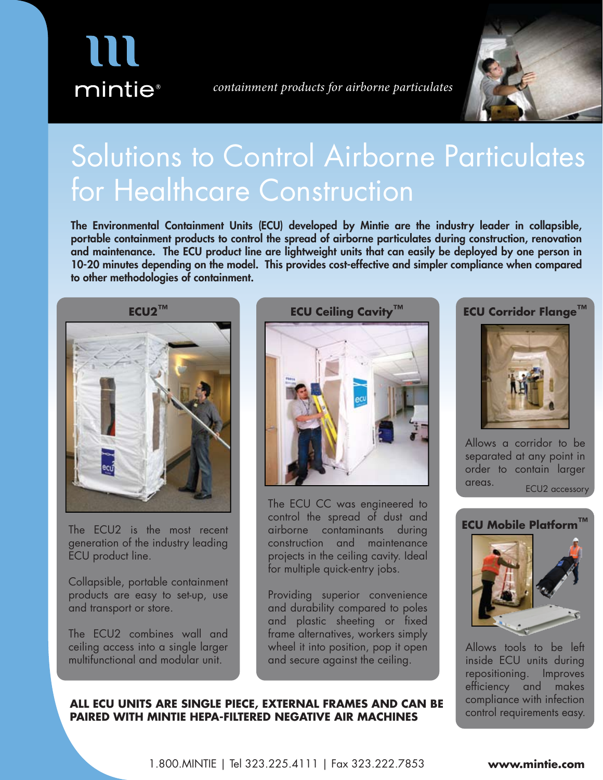

*containment products for airborne particulates*



# Solutions to Control Airborne Particulates for Healthcare Construction

The Environmental Containment Units (ECU) developed by Mintie are the industry leader in collapsible, portable containment products to control the spread of airborne particulates during construction, renovation and maintenance. The ECU product line are lightweight units that can easily be deployed by one person in 10-20 minutes depending on the model. This provides cost-effective and simpler compliance when compared to other methodologies of containment.



The ECU2 is the most recent generation of the industry leading ECU product line.

Collapsible, portable containment products are easy to set-up, use and transport or store.

The ECU2 combines wall and ceiling access into a single larger multifunctional and modular unit.



The ECU CC was engineered to control the spread of dust and airborne contaminants during construction and maintenance projects in the ceiling cavity. Ideal for multiple quick-entry jobs.

Providing superior convenience and durability compared to poles and plastic sheeting or fixed frame alternatives, workers simply wheel it into position, pop it open and secure against the ceiling.

## **ECU Corridor Flange™**



Allows a corridor to be separated at any point in order to contain larger areas. ECU2 accessory



Allows tools to be left inside ECU units during repositioning. Improves efficiency and makes compliance with infection control requirements easy.

#### **ALL ECU UNITS ARE SINGLE PIECE, EXTERNAL FRAMES AND CAN BE PAIRED WITH MINTIE HEPA-FILTERED NEGATIVE AIR MACHINES**

1.800.MINTIE | Tel 323.225.4111 | Fax 323.222.7853 **www.mintie.com**